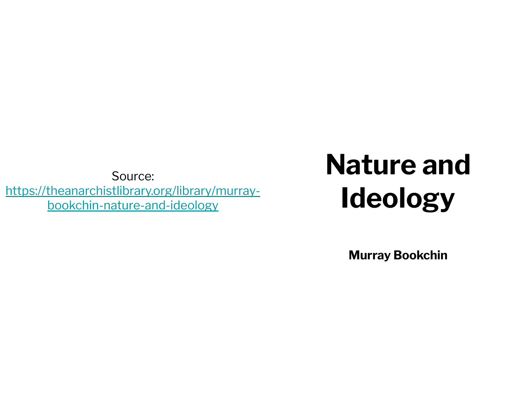[https://theanarchistlibrary.org/library/murray](https://theanarchistlibrary.org/library/murray-bookchin-nature-and-ideology)[bookchin-nature-and-ideology](https://theanarchistlibrary.org/library/murray-bookchin-nature-and-ideology)

## Source: **Nature and Ideology**

**Murray Bookchin**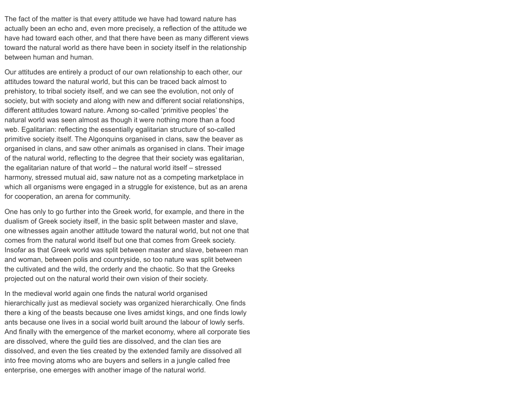The fact of the matter is that every attitude we have had toward nature has actually been an echo and, even more precisely, a reflection of the attitude we have had toward each other, and that there have been as many different views toward the natural world as there have been in society itself in the relationship between human and human.

Our attitudes are entirely a product of our own relationship to each other, our attitudes toward the natural world, but this can be traced back almost to prehistory, to tribal society itself, and we can see the evolution, not only of society, but with society and along with new and different social relationships, different attitudes toward nature. Among so-called 'primitive peoples' the natural world was seen almost as though it were nothing more than a food web. Egalitarian: reflecting the essentially egalitarian structure of so-called primitive society itself. The Algonquins organised in clans, saw the beaver as organised in clans, and saw other animals as organised in clans. Their image of the natural world, reflecting to the degree that their society was egalitarian, the egalitarian nature of that world – the natural world itself – stressed harmony, stressed mutual aid, saw nature not as a competing marketplace in which all organisms were engaged in a struggle for existence, but as an arena for cooperation, an arena for community.

One has only to go further into the Greek world, for example, and there in the dualism of Greek society itself, in the basic split between master and slave, one witnesses again another attitude toward the natural world, but not one that comes from the natural world itself but one that comes from Greek society. Insofar as that Greek world was split between master and slave, between man and woman, between polis and countryside, so too nature was split between the cultivated and the wild, the orderly and the chaotic. So that the Greeks projected out on the natural world their own vision of their society.

In the medieval world again one finds the natural world organised hierarchically just as medieval society was organized hierarchically. One finds there a king of the beasts because one lives amidst kings, and one finds lowly ants because one lives in a social world built around the labour of lowly serfs. And finally with the emergence of the market economy, where all corporate ties are dissolved, where the guild ties are dissolved, and the clan ties are dissolved, and even the ties created by the extended family are dissolved all into free moving atoms who are buyers and sellers in a jungle called free enterprise, one emerges with another image of the natural world.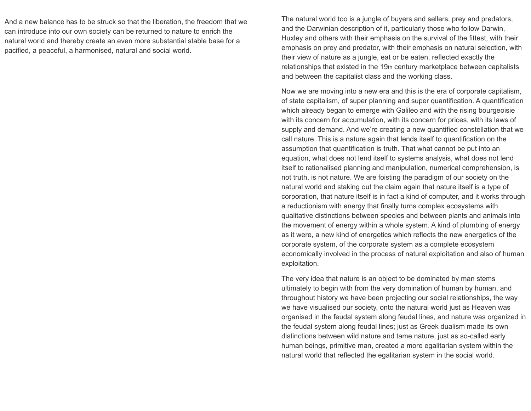And a new balance has to be struck so that the liberation, the freedom that we can introduce into our own society can be returned to nature to enrich the natural world and thereby create an even more substantial stable base for a pacified, a peaceful, a harmonised, natural and social world.

The natural world too is a jungle of buyers and sellers, prey and predators, and the Darwinian description of it, particularly those who follow Darwin, Huxley and others with their emphasis on the survival of the fittest, with their emphasis on prey and predator, with their emphasis on natural selection, with their view of nature as a jungle, eat or be eaten, reflected exactly the relationships that existed in the 19th century marketplace between capitalists and between the capitalist class and the working class.

Now we are moving into a new era and this is the era of corporate capitalism, of state capitalism, of super planning and super quantification. A quantification which already began to emerge with Galileo and with the rising bourgeoisie with its concern for accumulation, with its concern for prices, with its laws of supply and demand. And we're creating a new quantified constellation that we call nature. This is a nature again that lends itself to quantification on the assumption that quantification is truth. That what cannot be put into an equation, what does not lend itself to systems analysis, what does not lend itself to rationalised planning and manipulation, numerical comprehension, is not truth, is not nature. We are foisting the paradigm of our society on the natural world and staking out the claim again that nature itself is a type of corporation, that nature itself is in fact a kind of computer, and it works through a reductionism with energy that finally turns complex ecosystems with qualitative distinctions between species and between plants and animals into the movement of energy within a whole system. A kind of plumbing of energy as it were, a new kind of energetics which reflects the new energetics of the corporate system, of the corporate system as a complete ecosystem economically involved in the process of natural exploitation and also of human exploitation.

The very idea that nature is an object to be dominated by man stems ultimately to begin with from the very domination of human by human, and throughout history we have been projecting our social relationships, the way we have visualised our society, onto the natural world just as Heaven was organised in the feudal system along feudal lines, and nature was organized in the feudal system along feudal lines; just as Greek dualism made its own distinctions between wild nature and tame nature, just as so-called early human beings, primitive man, created a more egalitarian system within the natural world that reflected the egalitarian system in the social world.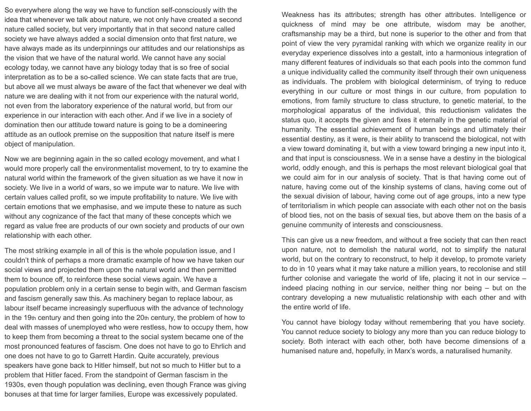So everywhere along the way we have to function self-consciously with the idea that whenever we talk about nature, we not only have created a second nature called society, but very importantly that in that second nature called society we have always added a social dimension onto that first nature, we have always made as its underpinnings our attitudes and our relationships as the vision that we have of the natural world. We cannot have any social ecology today, we cannot have any biology today that is so free of social interpretation as to be a so-called science. We can state facts that are true, but above all we must always be aware of the fact that whenever we deal with nature we are dealing with it not from our experience with the natural world, not even from the laboratory experience of the natural world, but from our experience in our interaction with each other. And if we live in a society of domination then our attitude toward nature is going to be a domineering attitude as an outlook premise on the supposition that nature itself is mere object of manipulation.

Now we are beginning again in the so called ecology movement, and what I would more properly call the environmentalist movement, to try to examine the natural world within the framework of the given situation as we have it now in society. We live in a world of wars, so we impute war to nature. We live with certain values called profit, so we impute profitability to nature. We live with certain emotions that we emphasise, and we impute these to nature as such without any cognizance of the fact that many of these concepts which we regard as value free are products of our own society and products of our own relationship with each other.

The most striking example in all of this is the whole population issue, and I couldn't think of perhaps a more dramatic example of how we have taken our social views and projected them upon the natural world and then permitted them to bounce off, to reinforce these social views again. We have a population problem only in a certain sense to begin with, and German fascism and fascism generally saw this. As machinery began to replace labour, as labour itself became increasingly superfluous with the advance of technology in the 19th century and then going into the 20th century, the problem of how to deal with masses of unemployed who were restless, how to occupy them, how to keep them from becoming a threat to the social system became one of the most pronounced features of fascism. One does not have to go to Ehrlich and one does not have to go to Garrett Hardin. Quite accurately, previous speakers have gone back to Hitler himself, but not so much to Hitler but to a problem that Hitler faced. From the standpoint of German fascism in the 1930s, even though population was declining, even though France was giving bonuses at that time for larger families, Europe was excessively populated.

ecology today, we cannot have any biology today that is so free of social<br>interpretation as to be a so-called science. We can state facts that are true,<br>but above all we must always be aware of the fact that whenever we de Weakness has its attributes; strength has other attributes. Intelligence or quickness of mind may be one attribute, wisdom may be another, craftsmanship may be a third, but none is superior to the other and from that point of view the very pyramidal ranking with which we organize reality in our everyday experience dissolves into a gestalt, into a harmonious integration of many different features of individuals so that each pools into the common fund a unique individuality called the community itself through their own uniqueness as individuals. The problem with biological determinism, of trying to reduce everything in our culture or most things in our culture, from population to emotions, from family structure to class structure, to genetic material, to the morphological apparatus of the individual, this reductionism validates the status quo, it accepts the given and fixes it eternally in the genetic material of humanity. The essential achievement of human beings and ultimately their essential destiny, as it were, is their ability to transcend the biological, not with a view toward dominating it, but with a view toward bringing a new input into it, and that input is consciousness. We in a sense have a destiny in the biological world, oddly enough, and this is perhaps the most relevant biological goal that we could aim for in our analysis of society. That is that having come out of nature, having come out of the kinship systems of clans, having come out of the sexual division of labour, having come out of age groups, into a new type of territorialism in which people can associate with each other not on the basis of blood ties, not on the basis of sexual ties, but above them on the basis of a genuine community of interests and consciousness.

> This can give us a new freedom, and without a free society that can then react upon nature, not to demolish the natural world, not to simplify the natural world, but on the contrary to reconstruct, to help it develop, to promote variety to do in 10 years what it may take nature a million years, to recolonise and still further colonise and variegate the world of life, placing it not in our service – indeed placing nothing in our service, neither thing nor being – but on the contrary developing a new mutualistic relationship with each other and with the entire world of life.

> You cannot have biology today without remembering that you have society. You cannot reduce society to biology any more than you can reduce biology to society. Both interact with each other, both have become dimensions of a humanised nature and, hopefully, in Marx's words, a naturalised humanity.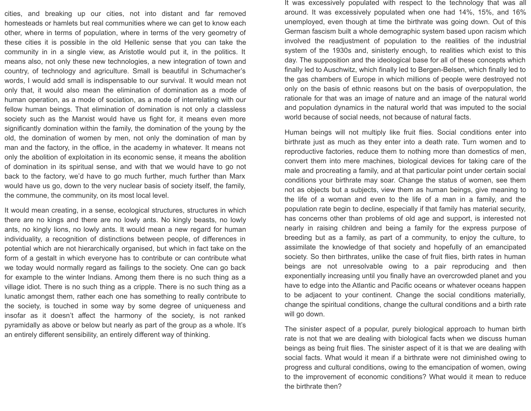rearis aso, not only these new technologies, a new integration of town and<br>country, of technology and agriculture. Small is beautiful in Schumacher's<br>words, I would add small is indispensable to our survival. It would mean cities, and breaking up our cities, not into distant and far removed homesteads or hamlets but real communities where we can get to know each other, where in terms of population, where in terms of the very geometry of these cities it is possible in the old Hellenic sense that you can take the community in in a single view, as Aristotle would put it, in the politics. It means also, not only these new technologies, a new integration of town and country, of technology and agriculture. Small is beautiful in Schumacher's words, I would add small is indispensable to our survival. It would mean not only that, it would also mean the elimination of domination as a mode of human operation, as a mode of sociation, as a mode of interrelating with our fellow human beings. That elimination of domination is not only a classless society such as the Marxist would have us fight for, it means even more significantly domination within the family, the domination of the young by the old, the domination of women by men, not only the domination of man by man and the factory, in the office, in the academy in whatever. It means not only the abolition of exploitation in its economic sense, it means the abolition of domination in its spiritual sense, and with that we would have to go not back to the factory, we'd have to go much further, much further than Marx would have us go, down to the very nuclear basis of society itself, the family, the commune, the community, on its most local level.

> It would mean creating, in a sense, ecological structures, structures in which there are no kings and there are no lowly ants. No kingly beasts, no lowly ants, no kingly lions, no lowly ants. It would mean a new regard for human individuality, a recognition of distinctions between people, of differences in potential which are not hierarchically organised, but which in fact take on the form of a gestalt in which everyone has to contribute or can contribute what we today would normally regard as failings to the society. One can go back for example to the winter Indians. Among them there is no such thing as a village idiot. There is no such thing as a cripple. There is no such thing as a lunatic amongst them, rather each one has something to really contribute to the society, is touched in some way by some degree of uniqueness and insofar as it doesn't affect the harmony of the society, is not ranked pyramidally as above or below but nearly as part of the group as a whole. It's an entirely different sensibility, an entirely different way of thinking.

It was excessively populated with respect to the technology that was all around. It was excessively populated when one had 14%, 15%, and 16% unemployed, even though at time the birthrate was going down. Out of this German fascism built a whole demographic system based upon racism which involved the readjustment of population to the realities of the industrial system of the 1930s and, sinisterly enough, to realities which exist to this day. The supposition and the ideological base for all of these concepts which finally led to Auschwitz, which finally led to Bergen-Belsen, which finally led to the gas chambers of Europe in which millions of people were destroyed not only on the basis of ethnic reasons but on the basis of overpopulation, the rationale for that was an image of nature and an image of the natural world and population dynamics in the natural world that was imputed to the social world because of social needs, not because of natural facts.

Human beings will not multiply like fruit flies. Social conditions enter into birthrate just as much as they enter into a death rate. Turn women and to reproductive factories, reduce them to nothing more than domestics of men, convert them into mere machines, biological devices for taking care of the male and procreating a family, and at that particular point under certain social conditions your birthrate may soar. Change the status of women, see them not as objects but a subjects, view them as human beings, give meaning to the life of a woman and even to the life of a man in a family, and the population rate begin to decline, especially if that family has material security, has concerns other than problems of old age and support, is interested not nearly in raising children and being a family for the express purpose of breeding but as a family, as part of a community, to enjoy the culture, to assimilate the knowledge of that society and hopefully of an emancipated society. So then birthrates, unlike the case of fruit flies, birth rates in human beings are not unresolvable owing to a pair reproducing and then exponentially increasing until you finally have an overcrowded planet and you have to edge into the Atlantic and Pacific oceans or whatever oceans happen to be adjacent to your continent. Change the social conditions materially, change the spiritual conditions, change the cultural conditions and a birth rate will go down.

The sinister aspect of a popular, purely biological approach to human birth rate is not that we are dealing with biological facts when we discuss human beings as being fruit flies. The sinister aspect of it is that we are dealing with social facts. What would it mean if a birthrate were not diminished owing to progress and cultural conditions, owing to the emancipation of women, owing to the improvement of economic conditions? What would it mean to reduce the birthrate then?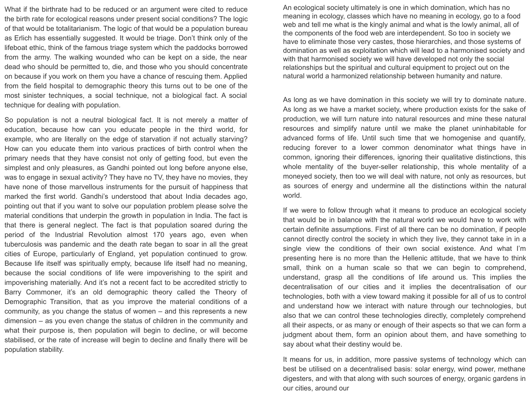dead who should be permitted to, die, and those who you should concentrate<br>on because if you work on them you have a chance of rescuing them. Applied<br>from the field hospital to demographic theory this turns out to be one o What if the birthrate had to be reduced or an argument were cited to reduce the birth rate for ecological reasons under present social conditions? The logic of that would be totalitarianism. The logic of that would be a population bureau as Erlich has essentially suggested. It would be triage. Don't think only of the lifeboat ethic, think of the famous triage system which the paddocks borrowed from the army. The walking wounded who can be kept on a side, the near dead who should be permitted to, die, and those who you should concentrate on because if you work on them you have a chance of rescuing them. Applied from the field hospital to demographic theory this turns out to be one of the most sinister techniques, a social technique, not a biological fact. A social technique for dealing with population.

> So population is not a neutral biological fact. It is not merely a matter of education, because how can you educate people in the third world, for example, who are literally on the edge of starvation if not actually starving? How can you educate them into various practices of birth control when the primary needs that they have consist not only of getting food, but even the simplest and only pleasures, as Gandhi pointed out long before anyone else, was to engage in sexual activity? They have no TV, they have no movies, they have none of those marvellous instruments for the pursuit of happiness that marked the first world. Gandhi's understood that about India decades ago, pointing out that if you want to solve our population problem please solve the material conditions that underpin the growth in population in India. The fact is that there is general neglect. The fact is that population soared during the period of the Industrial Revolution almost 170 years ago, even when tuberculosis was pandemic and the death rate began to soar in all the great cities of Europe, particularly of England, yet population continued to grow. Because life itself was spiritually empty, because life itself had no meaning, because the social conditions of life were impoverishing to the spirit and impoverishing materially. And it's not a recent fact to be accredited strictly to Barry Commoner, it's an old demographic theory called the Theory of Demographic Transition, that as you improve the material conditions of a community, as you change the status of women – and this represents a new dimension – as you even change the status of children in the community and what their purpose is, then population will begin to decline, or will become stabilised, or the rate of increase will begin to decline and finally there will be population stability.

An ecological society ultimately is one in which domination, which has no meaning in ecology, classes which have no meaning in ecology, go to a food web and tell me what is the kingly animal and what is the lowly animal, all of the components of the food web are interdependent. So too in society we have to eliminate those very castes, those hierarchies, and those systems of domination as well as exploitation which will lead to a harmonised society and with that harmonised society we will have developed not only the social relationships but the spiritual and cultural equipment to project out on the natural world a harmonized relationship between humanity and nature.

As long as we have domination in this society we will try to dominate nature. As long as we have a market society, where production exists for the sake of production, we will turn nature into natural resources and mine these natural resources and simplify nature until we make the planet uninhabitable for advanced forms of life. Until such time that we homogenise and quantify, reducing forever to a lower common denominator what things have in common, ignoring their differences, ignoring their qualitative distinctions, this whole mentality of the buyer-seller relationship, this whole mentality of a moneyed society, then too we will deal with nature, not only as resources, but as sources of energy and undermine all the distinctions within the natural world.

If we were to follow through what it means to produce an ecological society that would be in balance with the natural world we would have to work with certain definite assumptions. First of all there can be no domination, if people cannot directly control the society in which they live, they cannot take in in a single view the conditions of their own social existence. And what I'm presenting here is no more than the Hellenic attitude, that we have to think small, think on a human scale so that we can begin to comprehend, understand, grasp all the conditions of life around us. This implies the decentralisation of our cities and it implies the decentralisation of our technologies, both with a view toward making it possible for all of us to control and understand how we interact with nature through our technologies, but also that we can control these technologies directly, completely comprehend all their aspects, or as many or enough of their aspects so that we can form a judgment about them, form an opinion about them, and have something to say about what their destiny would be.

It means for us, in addition, more passive systems of technology which can best be utilised on a decentralised basis: solar energy, wind power, methane digesters, and with that along with such sources of energy, organic gardens in our cities, around our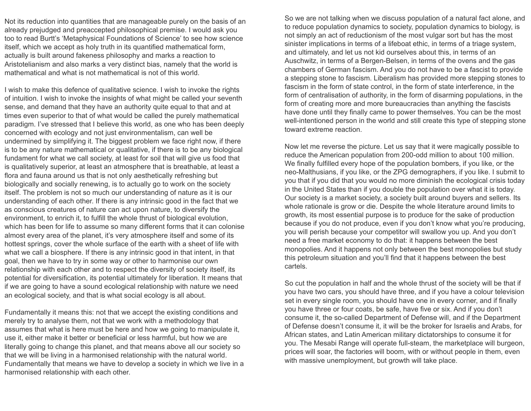Not its reduction into quantities that are manageable purely on the basis of an already prejudged and preaccepted philosophical premise. I would ask you too to read Burtt's 'Metaphysical Foundations of Science' to see how science itself, which we accept as holy truth in its quantified mathematical form, actually is built around fakeness philosophy and marks a reaction to Aristotelianism and also marks a very distinct bias, namely that the world is mathematical and what is not mathematical is not of this world.

I wish to make this defence of qualitative science. I wish to invoke the rights of intuition. I wish to invoke the insights of what might be called your seventh sense, and demand that they have an authority quite equal to that and at times even superior to that of what would be called the purely mathematical paradigm. I've stressed that I believe this world, as one who has been deeply concerned with ecology and not just environmentalism, can well be undermined by simplifying it. The biggest problem we face right now, if there is to be any nature mathematical or qualitative, if there is to be any biological fundament for what we call society, at least for soil that will give us food that is qualitatively superior, at least an atmosphere that is breathable, at least a flora and fauna around us that is not only aesthetically refreshing but biologically and socially renewing, is to actually go to work on the society itself. The problem is not so much our understanding of nature as it is our understanding of each other. If there is any intrinsic good in the fact that we as conscious creatures of nature can act upon nature, to diversify the environment, to enrich it, to fulfill the whole thrust of biological evolution, which has been for life to assume so many different forms that it can colonise almost every area of the planet, it's very atmosphere itself and some of its hottest springs, cover the whole surface of the earth with a sheet of life with what we call a biosphere. If there is any intrinsic good in that intent, in that goal, then we have to try in some way or other to harmonise our own relationship with each other and to respect the diversity of society itself, its potential for diversification, its potential ultimately for liberation. It means that if we are going to have a sound ecological relationship with nature we need an ecological society, and that is what social ecology is all about.

Fundamentally it means this: not that we accept the existing conditions and merely try to analyse them, not that we work with a methodology that assumes that what is here must be here and how we going to manipulate it, use it, either make it better or beneficial or less harmful, but how we are literally going to change this planet, and that means above all our society so that we will be living in a harmonised relationship with the natural world. Fundamentally that means we have to develop a society in which we live in a harmonised relationship with each other.

Aristotelianism and also marks a very distinct bias, namely that the world is<br>
mathematical and what is not mathematical is not of this world.<br>
I wish to make this defence of qualitative science. I wish to invoke the right So we are not talking when we discuss population of a natural fact alone, and to reduce population dynamics to society, population dynamics to biology, is not simply an act of reductionism of the most vulgar sort but has the most sinister implications in terms of a lifeboat ethic, in terms of a triage system, and ultimately, and let us not kid ourselves about this, in terms of an Auschwitz, in terms of a Bergen-Belsen, in terms of the ovens and the gas chambers of German fascism. And you do not have to be a fascist to provide a stepping stone to fascism. Liberalism has provided more stepping stones to fascism in the form of state control, in the form of state interference, in the form of centralisation of authority, in the form of disarming populations, in the form of creating more and more bureaucracies than anything the fascists have done until they finally came to power themselves. You can be the most well-intentioned person in the world and still create this type of stepping stone toward extreme reaction.

> Now let me reverse the picture. Let us say that it were magically possible to reduce the American population from 200-odd million to about 100 million. We finally fulfilled every hope of the population bombers, if you like, or the neo-Malthusians, if you like, or the ZPG demographers, if you like. I submit to you that if you did that you would no more diminish the ecological crisis today in the United States than if you double the population over what it is today. Our society is a market society, a society built around buyers and sellers. Its whole rationale is grow or die. Despite the whole literature around limits to growth, its most essential purpose is to produce for the sake of production because if you do not produce, even if you don't know what you're producing, you will perish because your competitor will swallow you up. And you don't need a free market economy to do that: it happens between the best monopolies. And it happens not only between the best monopolies but study this petroleum situation and you'll find that it happens between the best cartels.

> So cut the population in half and the whole thrust of the society will be that if you have two cars, you should have three, and if you have a colour television set in every single room, you should have one in every corner, and if finally you have three or four coats, be safe, have five or six. And if you don't consume it, the so-called Department of Defense will, and if the Department of Defense doesn't consume it, it will be the broker for Israelis and Arabs, for African states, and Latin American military dictatorships to consume it for you. The Mesabi Range will operate full-steam, the marketplace will burgeon, prices will soar, the factories will boom, with or without people in them, even with massive unemployment, but growth will take place.